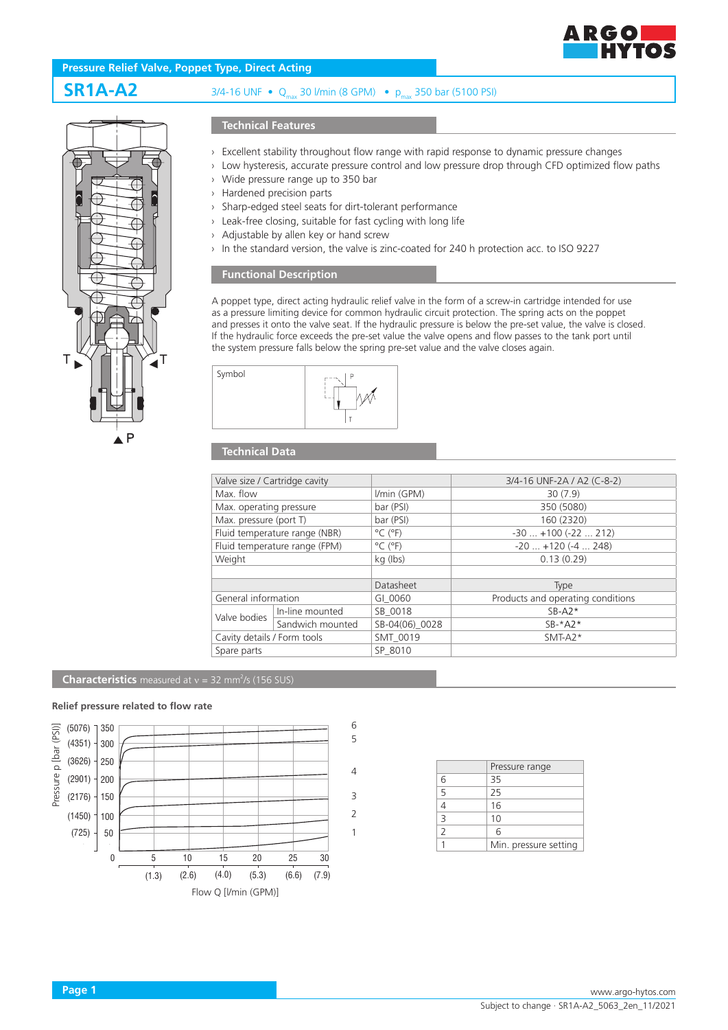

# **Pressure Relief Valve, Poppet Type, Direct Acting**



# **SR1A-A2** 3/4-16 UNF • Qmax 30 l/min (8 GPM) • pmax 350 bar (5100 PSI)

### **Technical Features**

- › Excellent stability throughout flow range with rapid response to dynamic pressure changes
- › Low hysteresis, accurate pressure control and low pressure drop through CFD optimized flow paths
- › Wide pressure range up to 350 bar
- › Hardened precision parts
- › Sharp-edged steel seats for dirt-tolerant performance
- › Leak-free closing, suitable for fast cycling with long life
- › Adjustable by allen key or hand screw
- › In the standard version, the valve is zinc-coated for 240 h protection acc. to ISO 9227

## **Functional Description**

A poppet type, direct acting hydraulic relief valve in the form of a screw-in cartridge intended for use as a pressure limiting device for common hydraulic circuit protection. The spring acts on the poppet and presses it onto the valve seat. If the hydraulic pressure is below the pre-set value, the valve is closed. If the hydraulic force exceeds the pre-set value the valve opens and flow passes to the tank port until the system pressure falls below the spring pre-set value and the valve closes again.



## **Technical Data**

| Valve size / Cartridge cavity |                  |                              | 3/4-16 UNF-2A / A2 (C-8-2)        |
|-------------------------------|------------------|------------------------------|-----------------------------------|
| Max. flow                     |                  | I/min (GPM)                  | 30(7.9)                           |
| Max. operating pressure       |                  | bar (PSI)                    | 350 (5080)                        |
| Max. pressure (port T)        |                  | bar (PSI)                    | 160 (2320)                        |
| Fluid temperature range (NBR) |                  | $^{\circ}$ C ( $^{\circ}$ F) | $-30$ $+100$ ( $-22$ 212)         |
| Fluid temperature range (FPM) |                  | $^{\circ}$ C ( $^{\circ}$ F) | $-20$ $+120$ ( $-4$ 248)          |
| Weight                        |                  | kg (lbs)                     | 0.13(0.29)                        |
|                               |                  |                              |                                   |
|                               |                  | Datasheet                    | Type                              |
| General information           |                  | GI 0060                      | Products and operating conditions |
| Valve bodies                  | In-line mounted  | SB 0018                      | $SB- A2*$                         |
|                               | Sandwich mounted | SB-04(06) 0028               | $SB-*A2*$                         |
| Cavity details / Form tools   |                  | SMT 0019                     | $SMT-A2*$                         |
| Spare parts                   |                  | SP 8010                      |                                   |
|                               |                  |                              |                                   |

#### **Characteristics** measured at  $v = 32$  mm<sup>2</sup>/s (156 SUS)

#### **Relief pressure related to flow rate**



|                | Pressure range        |
|----------------|-----------------------|
|                | 35                    |
| $\overline{5}$ | 25                    |
|                | 16                    |
| $\overline{3}$ | 10                    |
| $\mathcal{P}$  | 6                     |
|                | Min. pressure setting |